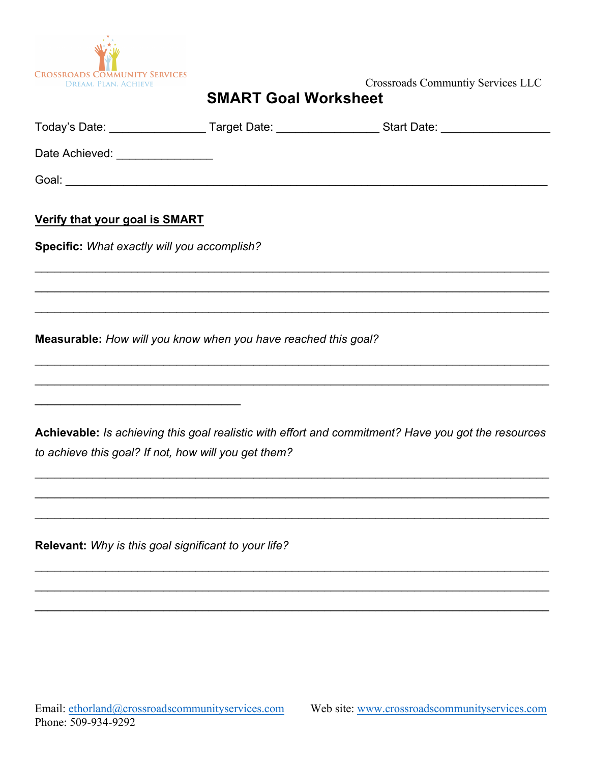

## **SMART Goal Worksheet**

|                                                                                                                                                                                         |  | Today's Date: _____________________Target Date: _____________________Start Date: ___________________ |  |  |
|-----------------------------------------------------------------------------------------------------------------------------------------------------------------------------------------|--|------------------------------------------------------------------------------------------------------|--|--|
| Date Achieved: ________________                                                                                                                                                         |  |                                                                                                      |  |  |
|                                                                                                                                                                                         |  |                                                                                                      |  |  |
| Verify that your goal is SMART                                                                                                                                                          |  |                                                                                                      |  |  |
| Specific: What exactly will you accomplish?                                                                                                                                             |  |                                                                                                      |  |  |
|                                                                                                                                                                                         |  |                                                                                                      |  |  |
|                                                                                                                                                                                         |  | ,我们也不能在这里的人,我们也不能在这里的人,我们也不能不能不能不能不能不能不能不能不能不能不能。""我们的人,我们也不能不能不能不能不能不能不能不能不能不能不                     |  |  |
| Measurable: How will you know when you have reached this goal?<br><u> 1989 - Johann Harry Harry Harry Harry Harry Harry Harry Harry Harry Harry Harry Harry Harry Harry Harry Harry</u> |  |                                                                                                      |  |  |
|                                                                                                                                                                                         |  |                                                                                                      |  |  |
|                                                                                                                                                                                         |  |                                                                                                      |  |  |
| to achieve this goal? If not, how will you get them?                                                                                                                                    |  | Achievable: Is achieving this goal realistic with effort and commitment? Have you got the resources  |  |  |
|                                                                                                                                                                                         |  |                                                                                                      |  |  |
| Relevant: Why is this goal significant to your life?                                                                                                                                    |  |                                                                                                      |  |  |
|                                                                                                                                                                                         |  |                                                                                                      |  |  |
|                                                                                                                                                                                         |  |                                                                                                      |  |  |
|                                                                                                                                                                                         |  |                                                                                                      |  |  |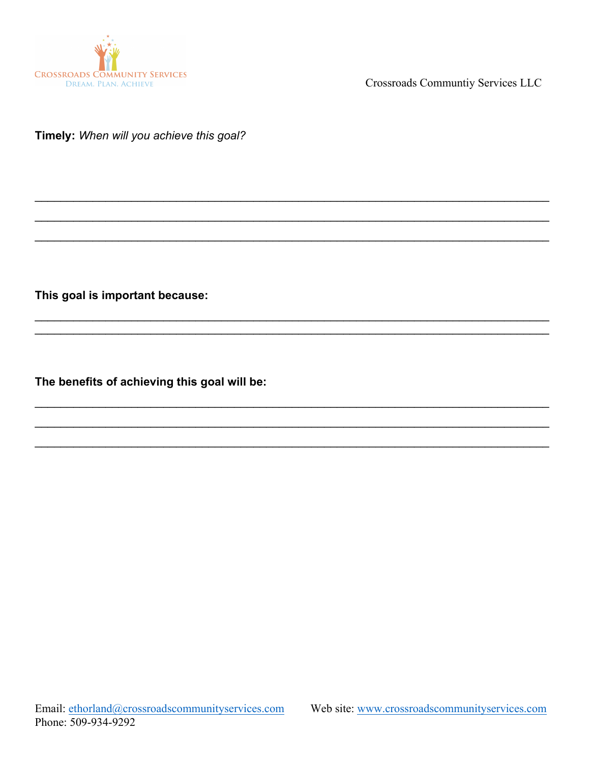

Crossroads Communtiy Services LLC

Timely: When will you achieve this goal?

This goal is important because:

The benefits of achieving this goal will be: